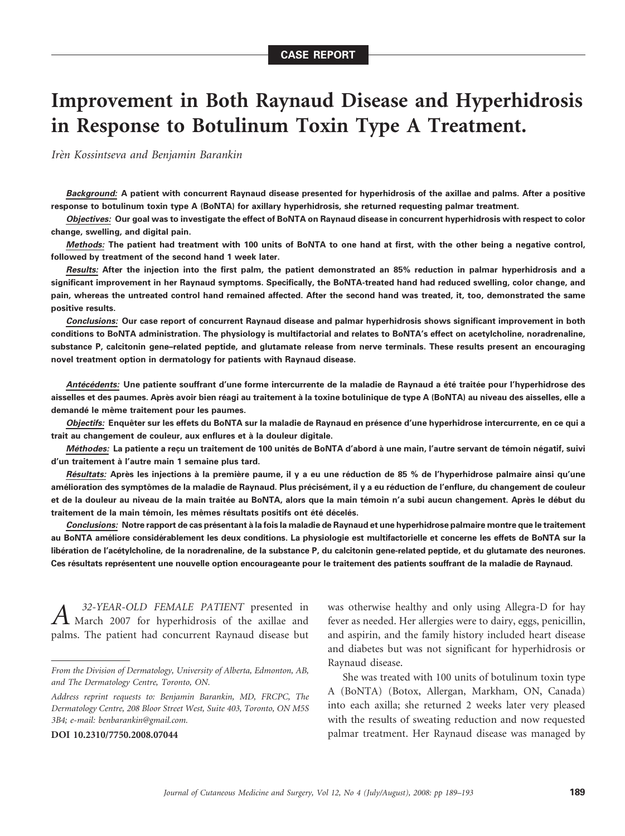# Improvement in Both Raynaud Disease and Hyperhidrosis in Response to Botulinum Toxin Type A Treatment.

Irèn Kossintseva and Benjamin Barankin

Background: A patient with concurrent Raynaud disease presented for hyperhidrosis of the axillae and palms. After a positive response to botulinum toxin type A (BoNTA) for axillary hyperhidrosis, she returned requesting palmar treatment.

Objectives: Our goal was to investigate the effect of BoNTA on Raynaud disease in concurrent hyperhidrosis with respect to color change, swelling, and digital pain.

Methods: The patient had treatment with 100 units of BoNTA to one hand at first, with the other being a negative control, followed by treatment of the second hand 1 week later.

Results: After the injection into the first palm, the patient demonstrated an 85% reduction in palmar hyperhidrosis and a significant improvement in her Raynaud symptoms. Specifically, the BoNTA-treated hand had reduced swelling, color change, and pain, whereas the untreated control hand remained affected. After the second hand was treated, it, too, demonstrated the same positive results.

Conclusions: Our case report of concurrent Raynaud disease and palmar hyperhidrosis shows significant improvement in both conditions to BoNTA administration. The physiology is multifactorial and relates to BoNTA's effect on acetylcholine, noradrenaline, substance P, calcitonin gene–related peptide, and glutamate release from nerve terminals. These results present an encouraging novel treatment option in dermatology for patients with Raynaud disease.

Antécédents: Une patiente souffrant d'une forme intercurrente de la maladie de Raynaud a été traitée pour l'hyperhidrose des aisselles et des paumes. Après avoir bien réagi au traitement à la toxine botulinique de type A (BoNTA) au niveau des aisselles, elle a demandé le même traitement pour les paumes.

Objectifs: Enquêter sur les effets du BoNTA sur la maladie de Raynaud en présence d'une hyperhidrose intercurrente, en ce qui a trait au changement de couleur, aux enflures et à la douleur digitale.

Méthodes: La patiente a reçu un traitement de 100 unités de BoNTA d'abord à une main, l'autre servant de témoin négatif, suivi d'un traitement à l'autre main 1 semaine plus tard.

Résultats: Après les injections à la première paume, il y a eu une réduction de 85 % de l'hyperhidrose palmaire ainsi qu'une amélioration des symptômes de la maladie de Raynaud. Plus précisément, il y a eu réduction de l'enflure, du changement de couleur et de la douleur au niveau de la main traitée au BoNTA, alors que la main témoin n'a subi aucun changement. Après le début du traitement de la main témoin, les mêmes résultats positifs ont été décelés.

Conclusions: Notre rapport de cas présentant à la fois la maladie de Raynaud et une hyperhidrose palmaire montre que le traitement au BoNTA améliore considérablement les deux conditions. La physiologie est multifactorielle et concerne les effets de BoNTA sur la libération de l'acétylcholine, de la noradrenaline, de la substance P, du calcitonin gene-related peptide, et du glutamate des neurones. Ces résultats représentent une nouvelle option encourageante pour le traitement des patients souffrant de la maladie de Raynaud.

A <sup>32-YEAR-OLD FEMALE PATIENT</sup> presented in<br>March 2007 for hyperhidrosis of the axillae and palms. The patient had concurrent Raynaud disease but

DOI 10.2310/7750.2008.07044

was otherwise healthy and only using Allegra-D for hay fever as needed. Her allergies were to dairy, eggs, penicillin, and aspirin, and the family history included heart disease and diabetes but was not significant for hyperhidrosis or Raynaud disease.

She was treated with 100 units of botulinum toxin type A (BoNTA) (Botox, Allergan, Markham, ON, Canada) into each axilla; she returned 2 weeks later very pleased with the results of sweating reduction and now requested palmar treatment. Her Raynaud disease was managed by

From the Division of Dermatology, University of Alberta, Edmonton, AB, and The Dermatology Centre, Toronto, ON.

Address reprint requests to: Benjamin Barankin, MD, FRCPC, The Dermatology Centre, 208 Bloor Street West, Suite 403, Toronto, ON M5S 3B4; e-mail: benbarankin@gmail.com.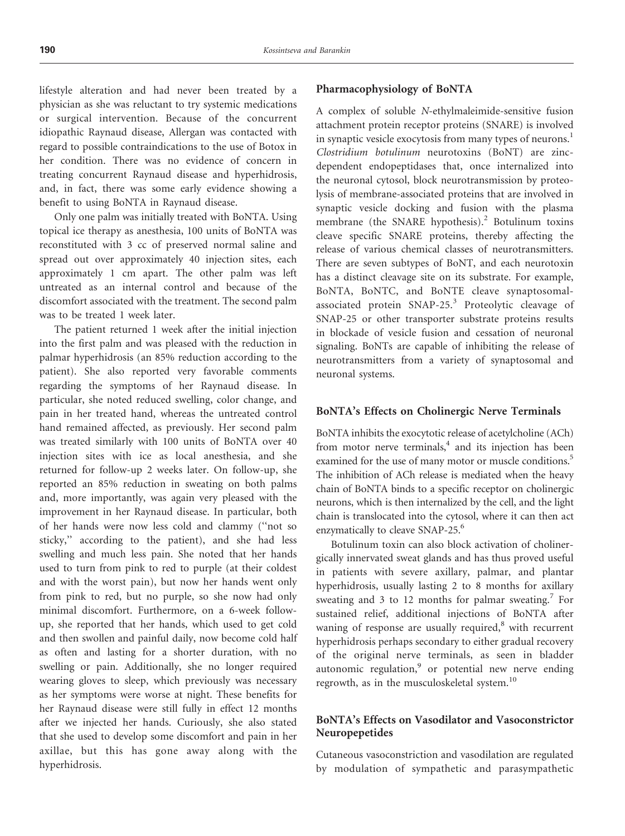lifestyle alteration and had never been treated by a physician as she was reluctant to try systemic medications or surgical intervention. Because of the concurrent idiopathic Raynaud disease, Allergan was contacted with regard to possible contraindications to the use of Botox in her condition. There was no evidence of concern in treating concurrent Raynaud disease and hyperhidrosis, and, in fact, there was some early evidence showing a benefit to using BoNTA in Raynaud disease.

Only one palm was initially treated with BoNTA. Using topical ice therapy as anesthesia, 100 units of BoNTA was reconstituted with 3 cc of preserved normal saline and spread out over approximately 40 injection sites, each approximately 1 cm apart. The other palm was left untreated as an internal control and because of the discomfort associated with the treatment. The second palm was to be treated 1 week later.

The patient returned 1 week after the initial injection into the first palm and was pleased with the reduction in palmar hyperhidrosis (an 85% reduction according to the patient). She also reported very favorable comments regarding the symptoms of her Raynaud disease. In particular, she noted reduced swelling, color change, and pain in her treated hand, whereas the untreated control hand remained affected, as previously. Her second palm was treated similarly with 100 units of BoNTA over 40 injection sites with ice as local anesthesia, and she returned for follow-up 2 weeks later. On follow-up, she reported an 85% reduction in sweating on both palms and, more importantly, was again very pleased with the improvement in her Raynaud disease. In particular, both of her hands were now less cold and clammy (''not so sticky,'' according to the patient), and she had less swelling and much less pain. She noted that her hands used to turn from pink to red to purple (at their coldest and with the worst pain), but now her hands went only from pink to red, but no purple, so she now had only minimal discomfort. Furthermore, on a 6-week followup, she reported that her hands, which used to get cold and then swollen and painful daily, now become cold half as often and lasting for a shorter duration, with no swelling or pain. Additionally, she no longer required wearing gloves to sleep, which previously was necessary as her symptoms were worse at night. These benefits for her Raynaud disease were still fully in effect 12 months after we injected her hands. Curiously, she also stated that she used to develop some discomfort and pain in her axillae, but this has gone away along with the hyperhidrosis.

#### Pharmacophysiology of BoNTA

A complex of soluble N-ethylmaleimide-sensitive fusion attachment protein receptor proteins (SNARE) is involved in synaptic vesicle exocytosis from many types of neurons.<sup>1</sup> Clostridium botulinum neurotoxins (BoNT) are zincdependent endopeptidases that, once internalized into the neuronal cytosol, block neurotransmission by proteolysis of membrane-associated proteins that are involved in synaptic vesicle docking and fusion with the plasma membrane (the SNARE hypothesis).<sup>2</sup> Botulinum toxins cleave specific SNARE proteins, thereby affecting the release of various chemical classes of neurotransmitters. There are seven subtypes of BoNT, and each neurotoxin has a distinct cleavage site on its substrate. For example, BoNTA, BoNTC, and BoNTE cleave synaptosomalassociated protein SNAP-25.<sup>3</sup> Proteolytic cleavage of SNAP-25 or other transporter substrate proteins results in blockade of vesicle fusion and cessation of neuronal signaling. BoNTs are capable of inhibiting the release of neurotransmitters from a variety of synaptosomal and neuronal systems.

### BoNTA's Effects on Cholinergic Nerve Terminals

BoNTA inhibits the exocytotic release of acetylcholine (ACh) from motor nerve terminals, $4$  and its injection has been examined for the use of many motor or muscle conditions.<sup>5</sup> The inhibition of ACh release is mediated when the heavy chain of BoNTA binds to a specific receptor on cholinergic neurons, which is then internalized by the cell, and the light chain is translocated into the cytosol, where it can then act enzymatically to cleave SNAP-25.<sup>6</sup>

Botulinum toxin can also block activation of cholinergically innervated sweat glands and has thus proved useful in patients with severe axillary, palmar, and plantar hyperhidrosis, usually lasting 2 to 8 months for axillary sweating and 3 to 12 months for palmar sweating.<sup>7</sup> For sustained relief, additional injections of BoNTA after waning of response are usually required, $\delta$  with recurrent hyperhidrosis perhaps secondary to either gradual recovery of the original nerve terminals, as seen in bladder autonomic regulation, $9$  or potential new nerve ending regrowth, as in the musculoskeletal system.<sup>10</sup>

## BoNTA's Effects on Vasodilator and Vasoconstrictor Neuropepetides

Cutaneous vasoconstriction and vasodilation are regulated by modulation of sympathetic and parasympathetic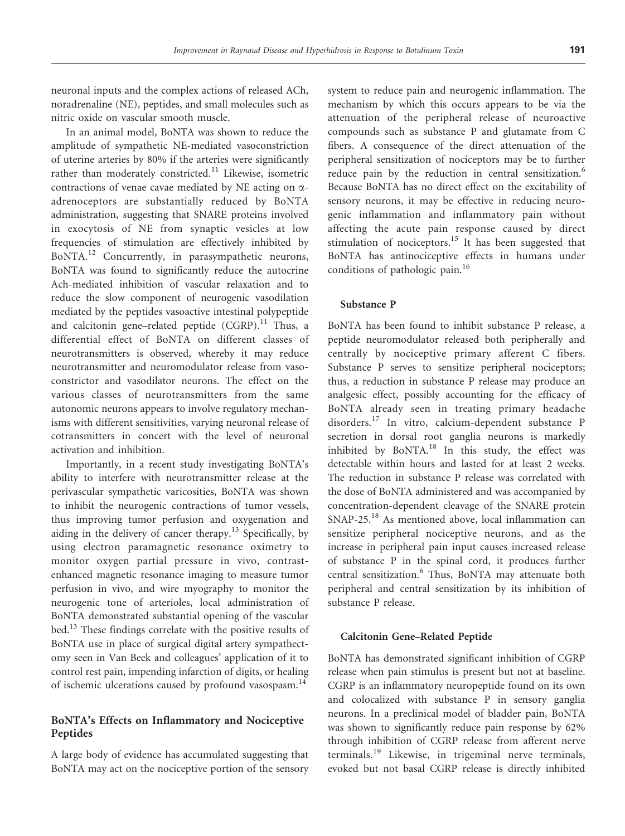neuronal inputs and the complex actions of released ACh, noradrenaline (NE), peptides, and small molecules such as nitric oxide on vascular smooth muscle.

In an animal model, BoNTA was shown to reduce the amplitude of sympathetic NE-mediated vasoconstriction of uterine arteries by 80% if the arteries were significantly rather than moderately constricted.<sup>11</sup> Likewise, isometric contractions of venae cavae mediated by NE acting on aadrenoceptors are substantially reduced by BoNTA administration, suggesting that SNARE proteins involved in exocytosis of NE from synaptic vesicles at low frequencies of stimulation are effectively inhibited by BoNTA.<sup>12</sup> Concurrently, in parasympathetic neurons, BoNTA was found to significantly reduce the autocrine Ach-mediated inhibition of vascular relaxation and to reduce the slow component of neurogenic vasodilation mediated by the peptides vasoactive intestinal polypeptide and calcitonin gene–related peptide  $(CGRP)^{11}$  Thus, a differential effect of BoNTA on different classes of neurotransmitters is observed, whereby it may reduce neurotransmitter and neuromodulator release from vasoconstrictor and vasodilator neurons. The effect on the various classes of neurotransmitters from the same autonomic neurons appears to involve regulatory mechanisms with different sensitivities, varying neuronal release of cotransmitters in concert with the level of neuronal activation and inhibition.

Importantly, in a recent study investigating BoNTA's ability to interfere with neurotransmitter release at the perivascular sympathetic varicosities, BoNTA was shown to inhibit the neurogenic contractions of tumor vessels, thus improving tumor perfusion and oxygenation and aiding in the delivery of cancer therapy.<sup>13</sup> Specifically, by using electron paramagnetic resonance oximetry to monitor oxygen partial pressure in vivo, contrastenhanced magnetic resonance imaging to measure tumor perfusion in vivo, and wire myography to monitor the neurogenic tone of arterioles, local administration of BoNTA demonstrated substantial opening of the vascular bed.13 These findings correlate with the positive results of BoNTA use in place of surgical digital artery sympathectomy seen in Van Beek and colleagues' application of it to control rest pain, impending infarction of digits, or healing of ischemic ulcerations caused by profound vasospasm.<sup>14</sup>

## BoNTA's Effects on Inflammatory and Nociceptive Peptides

A large body of evidence has accumulated suggesting that BoNTA may act on the nociceptive portion of the sensory system to reduce pain and neurogenic inflammation. The mechanism by which this occurs appears to be via the attenuation of the peripheral release of neuroactive compounds such as substance P and glutamate from C fibers. A consequence of the direct attenuation of the peripheral sensitization of nociceptors may be to further reduce pain by the reduction in central sensitization.<sup>6</sup> Because BoNTA has no direct effect on the excitability of sensory neurons, it may be effective in reducing neurogenic inflammation and inflammatory pain without affecting the acute pain response caused by direct stimulation of nociceptors.<sup>15</sup> It has been suggested that BoNTA has antinociceptive effects in humans under conditions of pathologic pain.<sup>16</sup>

### Substance P

BoNTA has been found to inhibit substance P release, a peptide neuromodulator released both peripherally and centrally by nociceptive primary afferent C fibers. Substance P serves to sensitize peripheral nociceptors; thus, a reduction in substance P release may produce an analgesic effect, possibly accounting for the efficacy of BoNTA already seen in treating primary headache disorders.<sup>17</sup> In vitro, calcium-dependent substance P secretion in dorsal root ganglia neurons is markedly inhibited by BoNTA. $^{18}$  In this study, the effect was detectable within hours and lasted for at least 2 weeks. The reduction in substance P release was correlated with the dose of BoNTA administered and was accompanied by concentration-dependent cleavage of the SNARE protein SNAP-25.<sup>18</sup> As mentioned above, local inflammation can sensitize peripheral nociceptive neurons, and as the increase in peripheral pain input causes increased release of substance P in the spinal cord, it produces further central sensitization.<sup>6</sup> Thus, BoNTA may attenuate both peripheral and central sensitization by its inhibition of substance P release.

#### Calcitonin Gene–Related Peptide

BoNTA has demonstrated significant inhibition of CGRP release when pain stimulus is present but not at baseline. CGRP is an inflammatory neuropeptide found on its own and colocalized with substance P in sensory ganglia neurons. In a preclinical model of bladder pain, BoNTA was shown to significantly reduce pain response by 62% through inhibition of CGRP release from afferent nerve terminals.<sup>19</sup> Likewise, in trigeminal nerve terminals, evoked but not basal CGRP release is directly inhibited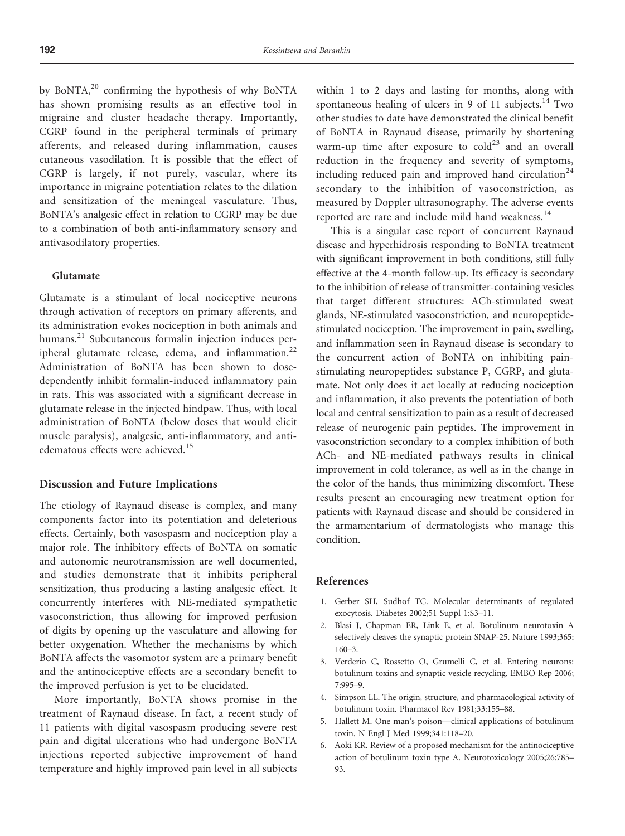by BoNTA, $^{20}$  confirming the hypothesis of why BoNTA has shown promising results as an effective tool in migraine and cluster headache therapy. Importantly, CGRP found in the peripheral terminals of primary afferents, and released during inflammation, causes cutaneous vasodilation. It is possible that the effect of CGRP is largely, if not purely, vascular, where its importance in migraine potentiation relates to the dilation and sensitization of the meningeal vasculature. Thus, BoNTA's analgesic effect in relation to CGRP may be due to a combination of both anti-inflammatory sensory and antivasodilatory properties.

#### Glutamate

Glutamate is a stimulant of local nociceptive neurons through activation of receptors on primary afferents, and its administration evokes nociception in both animals and humans.<sup>21</sup> Subcutaneous formalin injection induces peripheral glutamate release, edema, and inflammation.<sup>22</sup> Administration of BoNTA has been shown to dosedependently inhibit formalin-induced inflammatory pain in rats. This was associated with a significant decrease in glutamate release in the injected hindpaw. Thus, with local administration of BoNTA (below doses that would elicit muscle paralysis), analgesic, anti-inflammatory, and antiedematous effects were achieved.<sup>15</sup>

#### Discussion and Future Implications

The etiology of Raynaud disease is complex, and many components factor into its potentiation and deleterious effects. Certainly, both vasospasm and nociception play a major role. The inhibitory effects of BoNTA on somatic and autonomic neurotransmission are well documented, and studies demonstrate that it inhibits peripheral sensitization, thus producing a lasting analgesic effect. It concurrently interferes with NE-mediated sympathetic vasoconstriction, thus allowing for improved perfusion of digits by opening up the vasculature and allowing for better oxygenation. Whether the mechanisms by which BoNTA affects the vasomotor system are a primary benefit and the antinociceptive effects are a secondary benefit to the improved perfusion is yet to be elucidated.

More importantly, BoNTA shows promise in the treatment of Raynaud disease. In fact, a recent study of 11 patients with digital vasospasm producing severe rest pain and digital ulcerations who had undergone BoNTA injections reported subjective improvement of hand temperature and highly improved pain level in all subjects within 1 to 2 days and lasting for months, along with spontaneous healing of ulcers in 9 of 11 subjects. $14$  Two other studies to date have demonstrated the clinical benefit of BoNTA in Raynaud disease, primarily by shortening warm-up time after exposure to  $\text{cold}^{23}$  and an overall reduction in the frequency and severity of symptoms, including reduced pain and improved hand circulation<sup>24</sup> secondary to the inhibition of vasoconstriction, as measured by Doppler ultrasonography. The adverse events reported are rare and include mild hand weakness.<sup>14</sup>

This is a singular case report of concurrent Raynaud disease and hyperhidrosis responding to BoNTA treatment with significant improvement in both conditions, still fully effective at the 4-month follow-up. Its efficacy is secondary to the inhibition of release of transmitter-containing vesicles that target different structures: ACh-stimulated sweat glands, NE-stimulated vasoconstriction, and neuropeptidestimulated nociception. The improvement in pain, swelling, and inflammation seen in Raynaud disease is secondary to the concurrent action of BoNTA on inhibiting painstimulating neuropeptides: substance P, CGRP, and glutamate. Not only does it act locally at reducing nociception and inflammation, it also prevents the potentiation of both local and central sensitization to pain as a result of decreased release of neurogenic pain peptides. The improvement in vasoconstriction secondary to a complex inhibition of both ACh- and NE-mediated pathways results in clinical improvement in cold tolerance, as well as in the change in the color of the hands, thus minimizing discomfort. These results present an encouraging new treatment option for patients with Raynaud disease and should be considered in the armamentarium of dermatologists who manage this condition.

#### References

- 1. Gerber SH, Sudhof TC. Molecular determinants of regulated exocytosis. Diabetes 2002;51 Suppl 1:S3–11.
- 2. Blasi J, Chapman ER, Link E, et al. Botulinum neurotoxin A selectively cleaves the synaptic protein SNAP-25. Nature 1993;365: 160–3.
- 3. Verderio C, Rossetto O, Grumelli C, et al. Entering neurons: botulinum toxins and synaptic vesicle recycling. EMBO Rep 2006; 7:995–9.
- 4. Simpson LL. The origin, structure, and pharmacological activity of botulinum toxin. Pharmacol Rev 1981;33:155–88.
- 5. Hallett M. One man's poison—clinical applications of botulinum toxin. N Engl J Med 1999;341:118–20.
- 6. Aoki KR. Review of a proposed mechanism for the antinociceptive action of botulinum toxin type A. Neurotoxicology 2005;26:785– 93.